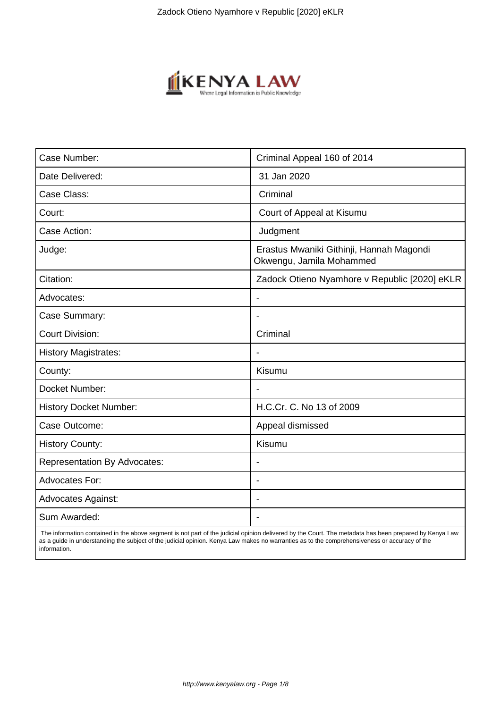

| Case Number:                        | Criminal Appeal 160 of 2014                                          |
|-------------------------------------|----------------------------------------------------------------------|
| Date Delivered:                     | 31 Jan 2020                                                          |
| Case Class:                         | Criminal                                                             |
| Court:                              | Court of Appeal at Kisumu                                            |
| Case Action:                        | Judgment                                                             |
| Judge:                              | Erastus Mwaniki Githinji, Hannah Magondi<br>Okwengu, Jamila Mohammed |
| Citation:                           | Zadock Otieno Nyamhore v Republic [2020] eKLR                        |
| Advocates:                          |                                                                      |
| Case Summary:                       |                                                                      |
| <b>Court Division:</b>              | Criminal                                                             |
| <b>History Magistrates:</b>         | $\blacksquare$                                                       |
| County:                             | Kisumu                                                               |
| Docket Number:                      |                                                                      |
| <b>History Docket Number:</b>       | H.C.Cr. C. No 13 of 2009                                             |
| Case Outcome:                       | Appeal dismissed                                                     |
| <b>History County:</b>              | Kisumu                                                               |
| <b>Representation By Advocates:</b> | $\overline{\phantom{a}}$                                             |
| <b>Advocates For:</b>               | $\blacksquare$                                                       |
| <b>Advocates Against:</b>           |                                                                      |
| Sum Awarded:                        |                                                                      |

 The information contained in the above segment is not part of the judicial opinion delivered by the Court. The metadata has been prepared by Kenya Law as a guide in understanding the subject of the judicial opinion. Kenya Law makes no warranties as to the comprehensiveness or accuracy of the information.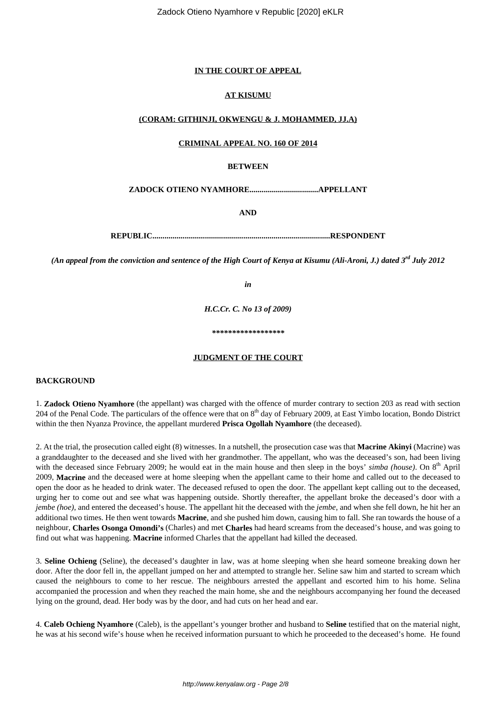### **IN THE COURT OF APPEAL**

### **AT KISUMU**

### **(CORAM: GITHINJI, OKWENGU & J. MOHAMMED, JJ.A)**

# **CRIMINAL APPEAL NO. 160 OF 2014**

#### **BETWEEN**

**ZADOCK OTIENO NYAMHORE..................................APPELLANT**

**AND**

**REPUBLIC........................................................................................RESPONDENT**

*(An appeal from the conviction and sentence of the High Court of Kenya at Kisumu (Ali-Aroni, J.) dated 3rd July 2012*

*in*

*H.C.Cr. C. No 13 of 2009)*

*\*\*\*\*\*\*\*\*\*\*\*\*\*\*\*\*\*\**

#### **JUDGMENT OF THE COURT**

## **BACKGROUND**

1. **Zadock Otieno Nyamhore** (the appellant) was charged with the offence of murder contrary to section 203 as read with section 204 of the Penal Code. The particulars of the offence were that on 8<sup>th</sup> day of February 2009, at East Yimbo location, Bondo District within the then Nyanza Province, the appellant murdered **Prisca Ogollah Nyamhore** (the deceased).

2. At the trial, the prosecution called eight (8) witnesses. In a nutshell, the prosecution case was that **Macrine Akinyi** (Macrine) was a granddaughter to the deceased and she lived with her grandmother. The appellant, who was the deceased's son, had been living with the deceased since February 2009; he would eat in the main house and then sleep in the boys' *simba (house)*. On 8<sup>th</sup> April 2009, **Macrine** and the deceased were at home sleeping when the appellant came to their home and called out to the deceased to open the door as he headed to drink water. The deceased refused to open the door. The appellant kept calling out to the deceased, urging her to come out and see what was happening outside. Shortly thereafter, the appellant broke the deceased's door with a *jembe (hoe)*, and entered the deceased's house. The appellant hit the deceased with the *jembe*, and when she fell down, he hit her an additional two times. He then went towards **Macrine**, and she pushed him down, causing him to fall. She ran towards the house of a neighbour, **Charles Osonga Omondi's** (Charles) and met **Charles** had heard screams from the deceased's house, and was going to find out what was happening. **Macrine** informed Charles that the appellant had killed the deceased.

3. **Seline Ochieng** (Seline), the deceased's daughter in law, was at home sleeping when she heard someone breaking down her door. After the door fell in, the appellant jumped on her and attempted to strangle her. Seline saw him and started to scream which caused the neighbours to come to her rescue. The neighbours arrested the appellant and escorted him to his home. Selina accompanied the procession and when they reached the main home, she and the neighbours accompanying her found the deceased lying on the ground, dead. Her body was by the door, and had cuts on her head and ear.

4. **Caleb Ochieng Nyamhore** (Caleb), is the appellant's younger brother and husband to **Seline** testified that on the material night, he was at his second wife's house when he received information pursuant to which he proceeded to the deceased's home. He found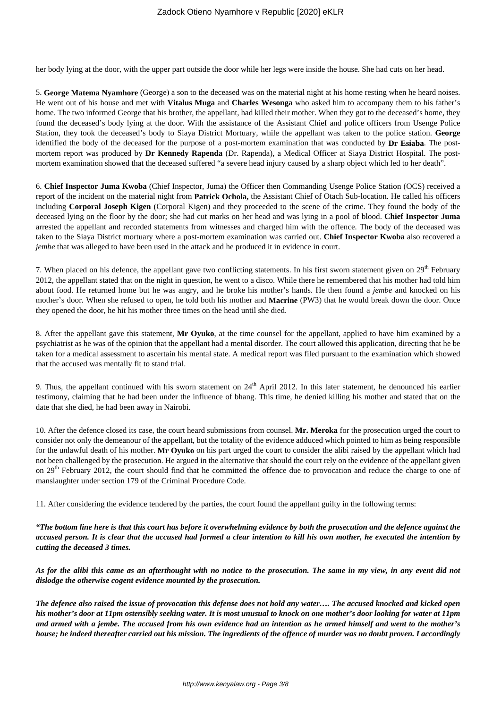her body lying at the door, with the upper part outside the door while her legs were inside the house. She had cuts on her head.

5. **George Matema Nyamhore** (George) a son to the deceased was on the material night at his home resting when he heard noises. He went out of his house and met with **Vitalus Muga** and **Charles Wesonga** who asked him to accompany them to his father's home. The two informed George that his brother, the appellant, had killed their mother. When they got to the deceased's home, they found the deceased's body lying at the door. With the assistance of the Assistant Chief and police officers from Usenge Police Station, they took the deceased's body to Siaya District Mortuary, while the appellant was taken to the police station. **George** identified the body of the deceased for the purpose of a post-mortem examination that was conducted by **Dr Esiaba**. The postmortem report was produced by **Dr Kennedy Rapenda** (Dr. Rapenda), a Medical Officer at Siaya District Hospital. The postmortem examination showed that the deceased suffered "a severe head injury caused by a sharp object which led to her death".

6. **Chief Inspector Juma Kwoba** (Chief Inspector, Juma) the Officer then Commanding Usenge Police Station (OCS) received a report of the incident on the material night from **Patrick Ochola,** the Assistant Chief of Otach Sub-location. He called his officers including **Corporal Joseph Kigen** (Corporal Kigen) and they proceeded to the scene of the crime. They found the body of the deceased lying on the floor by the door; she had cut marks on her head and was lying in a pool of blood. **Chief Inspector Juma** arrested the appellant and recorded statements from witnesses and charged him with the offence. The body of the deceased was taken to the Siaya District mortuary where a post-mortem examination was carried out. **Chief Inspector Kwoba** also recovered a *jembe* that was alleged to have been used in the attack and he produced it in evidence in court.

7. When placed on his defence, the appellant gave two conflicting statements. In his first sworn statement given on 29<sup>th</sup> February 2012, the appellant stated that on the night in question, he went to a disco. While there he remembered that his mother had told him about food. He returned home but he was angry, and he broke his mother's hands. He then found a *jembe* and knocked on his mother's door. When she refused to open, he told both his mother and **Macrine** (PW3) that he would break down the door. Once they opened the door, he hit his mother three times on the head until she died.

8. After the appellant gave this statement, **Mr Oyuko**, at the time counsel for the appellant, applied to have him examined by a psychiatrist as he was of the opinion that the appellant had a mental disorder. The court allowed this application, directing that he be taken for a medical assessment to ascertain his mental state. A medical report was filed pursuant to the examination which showed that the accused was mentally fit to stand trial.

9. Thus, the appellant continued with his sworn statement on  $24<sup>th</sup>$  April 2012. In this later statement, he denounced his earlier testimony, claiming that he had been under the influence of bhang. This time, he denied killing his mother and stated that on the date that she died, he had been away in Nairobi.

10. After the defence closed its case, the court heard submissions from counsel. **Mr. Meroka** for the prosecution urged the court to consider not only the demeanour of the appellant, but the totality of the evidence adduced which pointed to him as being responsible for the unlawful death of his mother. **Mr Oyuko** on his part urged the court to consider the alibi raised by the appellant which had not been challenged by the prosecution. He argued in the alternative that should the court rely on the evidence of the appellant given on 29<sup>th</sup> February 2012, the court should find that he committed the offence due to provocation and reduce the charge to one of manslaughter under section 179 of the Criminal Procedure Code.

11. After considering the evidence tendered by the parties, the court found the appellant guilty in the following terms:

*"The bottom line here is that this court has before it overwhelming evidence by both the prosecution and the defence against the accused person. It is clear that the accused had formed a clear intention to kill his own mother, he executed the intention by cutting the deceased 3 times.*

*As for the alibi this came as an afterthought with no notice to the prosecution. The same in my view, in any event did not dislodge the otherwise cogent evidence mounted by the prosecution.*

*The defence also raised the issue of provocation this defense does not hold any water…. The accused knocked and kicked open his mother's door at 11pm ostensibly seeking water. It is most unusual to knock on one mother's door looking for water at 11pm and armed with a jembe. The accused from his own evidence had an intention as he armed himself and went to the mother's house; he indeed thereafter carried out his mission. The ingredients of the offence of murder was no doubt proven. I accordingly*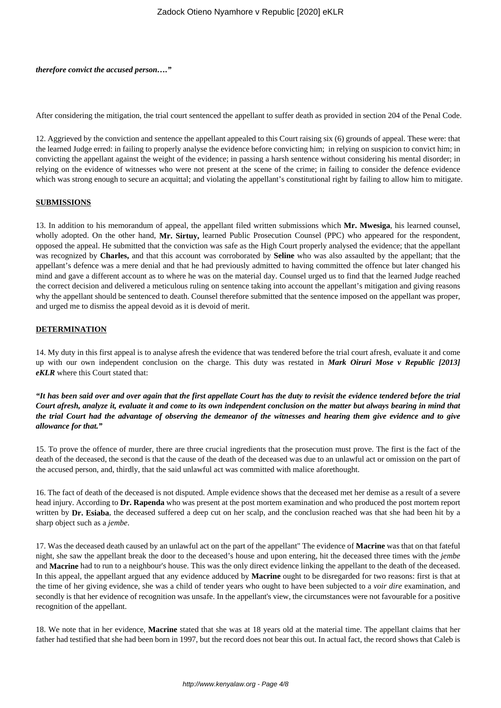*therefore convict the accused person…."*

After considering the mitigation, the trial court sentenced the appellant to suffer death as provided in section 204 of the Penal Code.

12. Aggrieved by the conviction and sentence the appellant appealed to this Court raising six (6) grounds of appeal. These were: that the learned Judge erred: in failing to properly analyse the evidence before convicting him; in relying on suspicion to convict him; in convicting the appellant against the weight of the evidence; in passing a harsh sentence without considering his mental disorder; in relying on the evidence of witnesses who were not present at the scene of the crime; in failing to consider the defence evidence which was strong enough to secure an acquittal; and violating the appellant's constitutional right by failing to allow him to mitigate.

#### **SUBMISSIONS**

13. In addition to his memorandum of appeal, the appellant filed written submissions which **Mr. Mwesiga**, his learned counsel, wholly adopted. On the other hand, **Mr. Sirtuy,** learned Public Prosecution Counsel (PPC) who appeared for the respondent, opposed the appeal. He submitted that the conviction was safe as the High Court properly analysed the evidence; that the appellant was recognized by **Charles,** and that this account was corroborated by **Seline** who was also assaulted by the appellant; that the appellant's defence was a mere denial and that he had previously admitted to having committed the offence but later changed his mind and gave a different account as to where he was on the material day. Counsel urged us to find that the learned Judge reached the correct decision and delivered a meticulous ruling on sentence taking into account the appellant's mitigation and giving reasons why the appellant should be sentenced to death. Counsel therefore submitted that the sentence imposed on the appellant was proper, and urged me to dismiss the appeal devoid as it is devoid of merit.

#### **DETERMINATION**

14. My duty in this first appeal is to analyse afresh the evidence that was tendered before the trial court afresh, evaluate it and come up with our own independent conclusion on the charge. This duty was restated in *Mark Oiruri Mose v Republic [2013] eKLR* where this Court stated that:

*"It has been said over and over again that the first appellate Court has the duty to revisit the evidence tendered before the trial Court afresh, analyze it, evaluate it and come to its own independent conclusion on the matter but always bearing in mind that the trial Court had the advantage of observing the demeanor of the witnesses and hearing them give evidence and to give allowance for that."*

15. To prove the offence of murder, there are three crucial ingredients that the prosecution must prove. The first is the fact of the death of the deceased, the second is that the cause of the death of the deceased was due to an unlawful act or omission on the part of the accused person, and, thirdly, that the said unlawful act was committed with malice aforethought.

16. The fact of death of the deceased is not disputed. Ample evidence shows that the deceased met her demise as a result of a severe head injury. According to **Dr. Rapenda** who was present at the post mortem examination and who produced the post mortem report written by **Dr. Esiaba**, the deceased suffered a deep cut on her scalp, and the conclusion reached was that she had been hit by a sharp object such as a *jembe*.

17. Was the deceased death caused by an unlawful act on the part of the appellant" The evidence of **Macrine** was that on that fateful night, she saw the appellant break the door to the deceased's house and upon entering, hit the deceased three times with the *jembe* and **Macrine** had to run to a neighbour's house. This was the only direct evidence linking the appellant to the death of the deceased. In this appeal, the appellant argued that any evidence adduced by **Macrine** ought to be disregarded for two reasons: first is that at the time of her giving evidence, she was a child of tender years who ought to have been subjected to a *voir dire* examination, and secondly is that her evidence of recognition was unsafe. In the appellant's view, the circumstances were not favourable for a positive recognition of the appellant.

18. We note that in her evidence, **Macrine** stated that she was at 18 years old at the material time. The appellant claims that her father had testified that she had been born in 1997, but the record does not bear this out. In actual fact, the record shows that Caleb is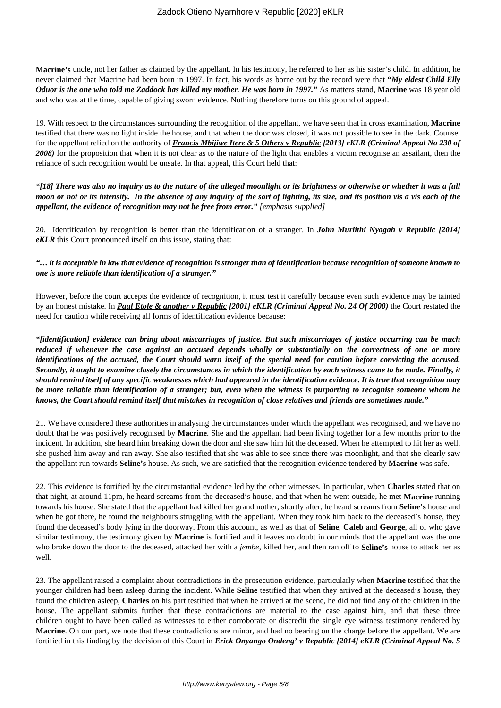**Macrine's** uncle, not her father as claimed by the appellant. In his testimony, he referred to her as his sister's child. In addition, he never claimed that Macrine had been born in 1997. In fact, his words as borne out by the record were that **"***My eldest Child Elly Oduor is the one who told me Zaddock has killed my mother. He was born in 1997."* As matters stand, **Macrine** was 18 year old and who was at the time, capable of giving sworn evidence. Nothing therefore turns on this ground of appeal.

19. With respect to the circumstances surrounding the recognition of the appellant, we have seen that in cross examination, **Macrine** testified that there was no light inside the house, and that when the door was closed, it was not possible to see in the dark. Counsel for the appellant relied on the authority of *Francis Mbijiwe Itere & 5 Others v Republic [2013] eKLR (Criminal Appeal No 230 of* 2008) for the proposition that when it is not clear as to the nature of the light that enables a victim recognise an assailant, then the reliance of such recognition would be unsafe. In that appeal, this Court held that:

*"[18] There was also no inquiry as to the nature of the alleged moonlight or its brightness or otherwise or whether it was a full moon or not or its intensity. In the absence of any inquiry of the sort of lighting, its size, and its position vis a vis each of the appellant, the evidence of recognition may not be free from error." [emphasis supplied]*

20. Identification by recognition is better than the identification of a stranger. In *John Muriithi Nyagah v Republic [2014] eKLR* this Court pronounced itself on this issue, stating that:

# *"… it is acceptable in law that evidence of recognition is stronger than of identification because recognition of someone known to one is more reliable than identification of a stranger."*

However, before the court accepts the evidence of recognition, it must test it carefully because even such evidence may be tainted by an honest mistake. In *Paul Etole & another v Republic [2001] eKLR (Criminal Appeal No. 24 Of 2000)* the Court restated the need for caution while receiving all forms of identification evidence because:

*"[identification] evidence can bring about miscarriages of justice. But such miscarriages of justice occurring can be much reduced if whenever the case against an accused depends wholly or substantially on the correctness of one or more identifications of the accused, the Court should warn itself of the special need for caution before convicting the accused. Secondly, it ought to examine closely the circumstances in which the identification by each witness came to be made. Finally, it should remind itself of any specific weaknesses which had appeared in the identification evidence. It is true that recognition may be more reliable than identification of a stranger; but, even when the witness is purporting to recognise someone whom he knows, the Court should remind itself that mistakes in recognition of close relatives and friends are sometimes made."*

21. We have considered these authorities in analysing the circumstances under which the appellant was recognised, and we have no doubt that he was positively recognised by **Macrine**. She and the appellant had been living together for a few months prior to the incident. In addition, she heard him breaking down the door and she saw him hit the deceased. When he attempted to hit her as well, she pushed him away and ran away. She also testified that she was able to see since there was moonlight, and that she clearly saw the appellant run towards **Seline's** house. As such, we are satisfied that the recognition evidence tendered by **Macrine** was safe.

22. This evidence is fortified by the circumstantial evidence led by the other witnesses. In particular, when **Charles** stated that on that night, at around 11pm, he heard screams from the deceased's house, and that when he went outside, he met **Macrine** running towards his house. She stated that the appellant had killed her grandmother; shortly after, he heard screams from **Seline's** house and when he got there, he found the neighbours struggling with the appellant. When they took him back to the deceased's house, they found the deceased's body lying in the doorway. From this account, as well as that of **Seline**, **Caleb** and **George**, all of who gave similar testimony, the testimony given by **Macrine** is fortified and it leaves no doubt in our minds that the appellant was the one who broke down the door to the deceased, attacked her with a *jembe*, killed her, and then ran off to **Seline's** house to attack her as well.

23. The appellant raised a complaint about contradictions in the prosecution evidence, particularly when **Macrine** testified that the younger children had been asleep during the incident. While **Seline** testified that when they arrived at the deceased's house, they found the children asleep, **Charles** on his part testified that when he arrived at the scene, he did not find any of the children in the house. The appellant submits further that these contradictions are material to the case against him, and that these three children ought to have been called as witnesses to either corroborate or discredit the single eye witness testimony rendered by **Macrine**. On our part, we note that these contradictions are minor, and had no bearing on the charge before the appellant. We are fortified in this finding by the decision of this Court in *Erick Onyango Ondeng' v Republic [2014] eKLR (Criminal Appeal No. 5*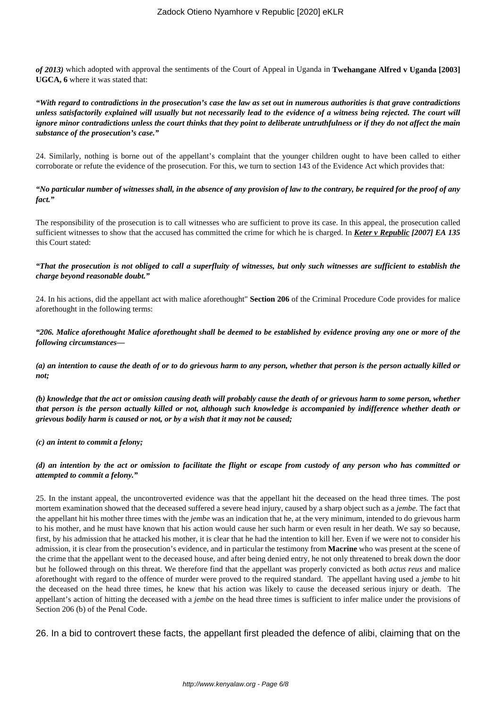*of 2013)* which adopted with approval the sentiments of the Court of Appeal in Uganda in **Twehangane Alfred v Uganda [2003] UGCA, 6** where it was stated that:

*"With regard to contradictions in the prosecution's case the law as set out in numerous authorities is that grave contradictions unless satisfactorily explained will usually but not necessarily lead to the evidence of a witness being rejected. The court will ignore minor contradictions unless the court thinks that they point to deliberate untruthfulness or if they do not affect the main substance of the prosecution's case."*

24. Similarly, nothing is borne out of the appellant's complaint that the younger children ought to have been called to either corroborate or refute the evidence of the prosecution. For this, we turn to section 143 of the Evidence Act which provides that:

*"No particular number of witnesses shall, in the absence of any provision of law to the contrary, be required for the proof of any fact."*

The responsibility of the prosecution is to call witnesses who are sufficient to prove its case. In this appeal, the prosecution called sufficient witnesses to show that the accused has committed the crime for which he is charged. In *Keter v Republic [2007] EA 135* this Court stated:

# *"That the prosecution is not obliged to call a superfluity of witnesses, but only such witnesses are sufficient to establish the charge beyond reasonable doubt."*

24. In his actions, did the appellant act with malice aforethought" **Section 206** of the Criminal Procedure Code provides for malice aforethought in the following terms:

# *"206. Malice aforethought Malice aforethought shall be deemed to be established by evidence proving any one or more of the following circumstances—*

*(a) an intention to cause the death of or to do grievous harm to any person, whether that person is the person actually killed or not;*

*(b) knowledge that the act or omission causing death will probably cause the death of or grievous harm to some person, whether that person is the person actually killed or not, although such knowledge is accompanied by indifference whether death or grievous bodily harm is caused or not, or by a wish that it may not be caused;*

*(c) an intent to commit a felony;*

# *(d) an intention by the act or omission to facilitate the flight or escape from custody of any person who has committed or attempted to commit a felony."*

25. In the instant appeal, the uncontroverted evidence was that the appellant hit the deceased on the head three times. The post mortem examination showed that the deceased suffered a severe head injury, caused by a sharp object such as a *jembe*. The fact that the appellant hit his mother three times with the *jembe* was an indication that he, at the very minimum, intended to do grievous harm to his mother, and he must have known that his action would cause her such harm or even result in her death. We say so because, first, by his admission that he attacked his mother, it is clear that he had the intention to kill her. Even if we were not to consider his admission, it is clear from the prosecution's evidence, and in particular the testimony from **Macrine** who was present at the scene of the crime that the appellant went to the deceased house, and after being denied entry, he not only threatened to break down the door but he followed through on this threat. We therefore find that the appellant was properly convicted as both *actus reus* and malice aforethought with regard to the offence of murder were proved to the required standard. The appellant having used a *jembe* to hit the deceased on the head three times, he knew that his action was likely to cause the deceased serious injury or death. The appellant's action of hitting the deceased with a *jembe* on the head three times is sufficient to infer malice under the provisions of Section 206 (b) of the Penal Code.

26. In a bid to controvert these facts, the appellant first pleaded the defence of alibi, claiming that on the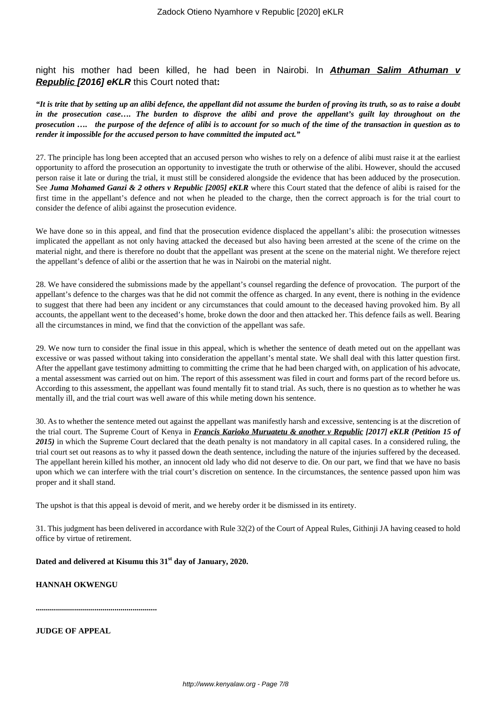night his mother had been killed, he had been in Nairobi. In **Athuman Salim Athuman v Republic [2016] eKLR** this Court noted that**:**

*"It is trite that by setting up an alibi defence, the appellant did not assume the burden of proving its truth, so as to raise a doubt in the prosecution case…. The burden to disprove the alibi and prove the appellant's guilt lay throughout on the prosecution …. the purpose of the defence of alibi is to account for so much of the time of the transaction in question as to render it impossible for the accused person to have committed the imputed act."*

27. The principle has long been accepted that an accused person who wishes to rely on a defence of alibi must raise it at the earliest opportunity to afford the prosecution an opportunity to investigate the truth or otherwise of the alibi. However, should the accused person raise it late or during the trial, it must still be considered alongside the evidence that has been adduced by the prosecution. See *Juma Mohamed Ganzi & 2 others v Republic [2005] eKLR* where this Court stated that the defence of alibi is raised for the first time in the appellant's defence and not when he pleaded to the charge, then the correct approach is for the trial court to consider the defence of alibi against the prosecution evidence.

We have done so in this appeal, and find that the prosecution evidence displaced the appellant's alibi: the prosecution witnesses implicated the appellant as not only having attacked the deceased but also having been arrested at the scene of the crime on the material night, and there is therefore no doubt that the appellant was present at the scene on the material night. We therefore reject the appellant's defence of alibi or the assertion that he was in Nairobi on the material night.

28. We have considered the submissions made by the appellant's counsel regarding the defence of provocation. The purport of the appellant's defence to the charges was that he did not commit the offence as charged. In any event, there is nothing in the evidence to suggest that there had been any incident or any circumstances that could amount to the deceased having provoked him. By all accounts, the appellant went to the deceased's home, broke down the door and then attacked her. This defence fails as well. Bearing all the circumstances in mind, we find that the conviction of the appellant was safe.

29. We now turn to consider the final issue in this appeal, which is whether the sentence of death meted out on the appellant was excessive or was passed without taking into consideration the appellant's mental state. We shall deal with this latter question first. After the appellant gave testimony admitting to committing the crime that he had been charged with, on application of his advocate, a mental assessment was carried out on him. The report of this assessment was filed in court and forms part of the record before us. According to this assessment, the appellant was found mentally fit to stand trial. As such, there is no question as to whether he was mentally ill, and the trial court was well aware of this while meting down his sentence.

30. As to whether the sentence meted out against the appellant was manifestly harsh and excessive, sentencing is at the discretion of the trial court. The Supreme Court of Kenya in *Francis Karioko Muruatetu & another v Republic [2017] eKLR (Petition 15 of 2015)* in which the Supreme Court declared that the death penalty is not mandatory in all capital cases. In a considered ruling, the trial court set out reasons as to why it passed down the death sentence, including the nature of the injuries suffered by the deceased. The appellant herein killed his mother, an innocent old lady who did not deserve to die. On our part, we find that we have no basis upon which we can interfere with the trial court's discretion on sentence. In the circumstances, the sentence passed upon him was proper and it shall stand.

The upshot is that this appeal is devoid of merit, and we hereby order it be dismissed in its entirety.

31. This judgment has been delivered in accordance with Rule 32(2) of the Court of Appeal Rules, Githinji JA having ceased to hold office by virtue of retirement.

**Dated and delivered at Kisumu this 31st day of January, 2020.** 

**HANNAH OKWENGU**

**............................................................**

**JUDGE OF APPEAL**